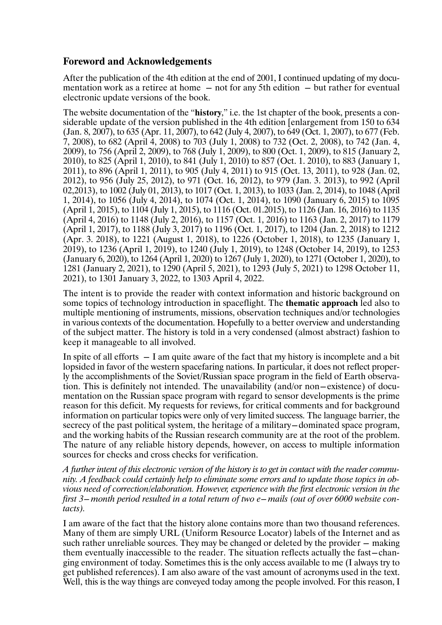## **Foreword and Acknowledgements**

After the publication of the 4th edition at the end of 2001, I continued updating of my documentation work as a retiree at home  $-$  not for any 5th edition  $-$  but rather for eventual electronic update versions of the book.

The website documentation of the "**history**," i.e. the 1st chapter of the book, presents a considerable update of the version published in the 4th edition [enlargement from 150 to 634 (Jan. 8, 2007), to 635 (Apr. 11, 2007), to 642 (July 4, 2007), to 649 (Oct. 1, 2007), to 677 (Feb. 7, 2008), to 682 (April 4, 2008) to 703 (July 1, 2008) to 732 (Oct. 2, 2008), to 742 (Jan. 4, 2009), to 756 (April 2, 2009), to 768 (July 1, 2009), to 800 (Oct. 1, 2009), to 815 (January 2, 2010), to 825 (April 1, 2010), to 841 (July 1, 2010) to 857 (Oct. 1. 2010), to 883 (January 1, 2011), to 896 (April 1, 2011), to 905 (July 4, 2011) to 915 (Oct. 13, 2011), to 928 (Jan. 02, 2012), to 956 (July 25, 2012), to 971 (Oct. 16, 2012), to 979 (Jan. 3. 2013), to 992 (April 02,2013), to 1002 (July 01, 2013), to 1017 (Oct. 1, 2013), to 1033 (Jan. 2, 2014), to 1048 (April 1, 2014), to 1056 (July 4, 2014), to 1074 (Oct. 1, 2014), to 1090 (January 6, 2015) to 1095 (April 1, 2015), to 1104 (July 1, 2015), to 1116 (Oct. 01.2015), to 1126 (Jan. 16, 2016) to 1135 (April 4, 2016) to 1148 (July 2, 2016), to 1157 (Oct. 1, 2016) to 1163 (Jan. 2, 2017) to 1179 (April 1, 2017), to 1188 (July 3, 2017) to 1196 (Oct. 1, 2017), to 1204 (Jan. 2, 2018) to 1212 (Apr. 3. 2018), to 1221 (August 1, 2018), to 1226 (October 1, 2018), to 1235 (January 1, 2019), to 1236 (April 1, 2019), to 1240 (July 1, 2019), to 1248 (October 14, 2019), to 1253 (January 6, 2020), to 1264 (April 1, 2020) to 1267 (July 1, 2020), to 1271 (October 1, 2020), to 1281 (January 2, 2021), to 1290 (April 5, 2021), to 1293 (July 5, 2021) to 1298 October 11, 2021), to 1301 January 3, 2022, to 1303 April 4, 2022.

The intent is to provide the reader with context information and historic background on some topics of technology introduction in spaceflight. The **thematic approach** led also to multiple mentioning of instruments, missions, observation techniques and/or technologies in various contexts of the documentation. Hopefully to a better overview and understanding of the subject matter. The history is told in a very condensed (almost abstract) fashion to keep it manageable to all involved.

In spite of all efforts  $- I$  am quite aware of the fact that my history is incomplete and a bit lopsided in favor of the western spacefaring nations. In particular, it does not reflect properly the accomplishments of the Soviet/Russian space program in the field of Earth observation. This is definitely not intended. The unavailability (and/or non-existence) of documentation on the Russian space program with regard to sensor developments is the prime reason for this deficit. My requests for reviews, for critical comments and for background information on particular topics were only of very limited success. The language barrier, the secrecy of the past political system, the heritage of a military-dominated space program, and the working habits of the Russian research community are at the root of the problem. The nature of any reliable history depends, however, on access to multiple information sources for checks and cross checks for verification.

*A further intent of this electronic version of the history is to get in contact with the reader community. A feedback could certainly help to eliminate some errors and to update those topics in obvious need of correction/elaboration. However, experience with the first electronic version in the first 3-month period resulted in a total return of two e-mails (out of over 6000 website contacts).*

I am aware of the fact that the history alone contains more than two thousand references. Many of them are simply URL (Uniform Resource Locator) labels of the Internet and as such rather unreliable sources. They may be changed or deleted by the provider  $-$  making them eventually inaccessible to the reader. The situation reflects actually the fast-changing environment of today. Sometimes this is the only access available to me (I always try to get published references). I am also aware of the vast amount of acronyms used in the text. Well, this is the way things are conveyed today among the people involved. For this reason, I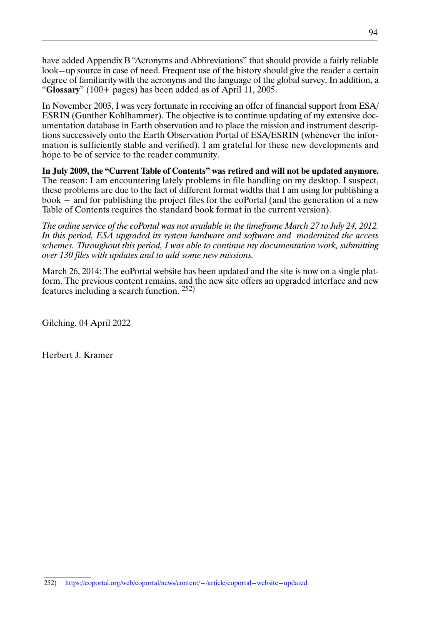have added Appendix B "Acronyms and Abbreviations" that should provide a fairly reliable look-up source in case of need. Frequent use of the history should give the reader a certain degree of familiarity with the acronyms and the language of the global survey. In addition, a "**Glossary**" (100+ pages) has been added as of April 11, 2005.

In November 2003, I was very fortunate in receiving an offer of financial support from ESA/ ESRIN (Gunther Kohlhammer). The objective is to continue updating of my extensive documentation database in Earth observation and to place the mission and instrument descriptions successively onto the Earth Observation Portal of ESA/ESRIN (whenever the information is sufficiently stable and verified). I am grateful for these new developments and hope to be of service to the reader community.

**In July 2009, the "Current Table of Contents" was retired and will not be updated anymore.** The reason: I am encountering lately problems in file handling on my desktop. I suspect, these problems are due to the fact of different format widths that I am using for publishing a book - and for publishing the project files for the eoPortal (and the generation of a new Table of Contents requires the standard book format in the current version).

*The online service of the eoPortal was not available in the timeframe March 27 to July 24, 2012. In this period, ESA upgraded its system hardware and software and modernized the access schemes. Throughout this period, I was able to continue my documentation work, submitting over 130 files with updates and to add some new missions.*

March 26, 2014: The eoPortal website has been updated and the site is now on a single platform. The previous content remains, and the new site offers an upgraded interface and new features including a search function. 252)

Gilching, 04 April 2022

Herbert J. Kramer

 $\frac{1}{2}$  ,  $\frac{1}{2}$  ,  $\frac{1}{2}$  ,  $\frac{1}{2}$  ,  $\frac{1}{2}$  ,  $\frac{1}{2}$  ,  $\frac{1}{2}$  ,  $\frac{1}{2}$  ,  $\frac{1}{2}$  ,  $\frac{1}{2}$  ,  $\frac{1}{2}$  ,  $\frac{1}{2}$  ,  $\frac{1}{2}$  ,  $\frac{1}{2}$  ,  $\frac{1}{2}$  ,  $\frac{1}{2}$  ,  $\frac{1}{2}$  ,  $\frac{1}{2}$  ,  $\frac{1$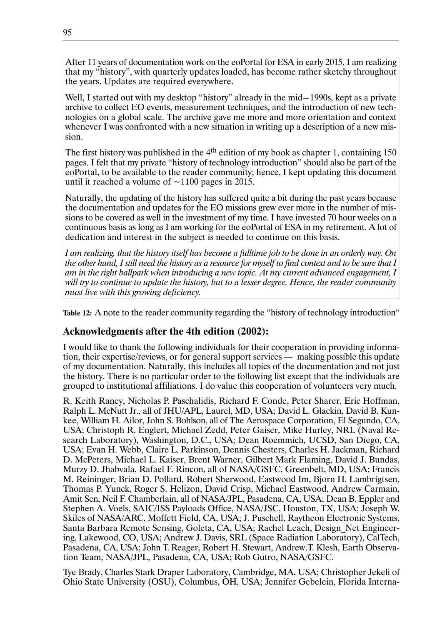After 11 years of documentation work on the eoPortal for ESA in early 2015, I am realizing that my "history", with quarterly updates loaded, has become rather sketchy throughout the years. Updates are required everywhere.

Well, I started out with my desktop "history" already in the mid-1990s, kept as a private archive to collect EO events, measurement techniques, and the introduction of new technologies on a global scale. The archive gave me more and more orientation and context whenever I was confronted with a new situation in writing up a description of a new mission.

The first history was published in the  $4<sup>th</sup>$  edition of my book as chapter 1, containing 150 pages. I felt that my private "history of technology introduction" should also be part of the eoPortal, to be available to the reader community; hence, I kept updating this document until it reached a volume of  $\sim$ 1100 pages in 2015.

Naturally, the updating of the history has suffered quite a bit during the past years because the documentation and updates for the EO missions grew ever more in the number of missions to be covered as well in the investment of my time. I have invested 70 hour weeks on a continuous basis as long as I am working for the eoPortal of ESA in my retirement. A lot of dedication and interest in the subject is needed to continue on this basis.

*I am realizing, that the history itself has become a fulltime job to be done in an orderly way. On the other hand, I still need the history as a resource for myself to find context and to be sure that I am in the right ballpark when introducing a new topic. At my current advanced engagement, I will try to continue to update the history, but to a lesser degree. Hence, the reader community must live with this growing deficiency.*

**Table 12:** A note to the reader community regarding the "history of technology introduction"

## **Acknowledgments after the 4th edition (2002):**

I would like to thank the following individuals for their cooperation in providing information, their expertise/reviews, or for general support services — making possible this update of my documentation. Naturally, this includes all topics of the documentation and not just the history. There is no particular order to the following list except that the individuals are grouped to institutional affiliations. I do value this cooperation of volunteers very much.

R. Keith Raney, Nicholas P. Paschalidis, Richard F. Conde, Peter Sharer, Eric Hoffman, Ralph L. McNutt Jr., all of JHU/APL, Laurel, MD, USA; David L. Glackin, David B. Kunkee, William H. Ailor, John S. Bohlson, all of The Aerospace Corporation, El Segundo, CA, USA; Christoph R. Englert, Michael Zedd, Peter Gaiser, Mike Hurley, NRL (Naval Research Laboratory), Washington, D.C., USA; Dean Roemmich, UCSD, San Diego, CA, USA; Evan H. Webb, Claire L. Parkinson, Dennis Chesters, Charles H. Jackman, Richard D. McPeters, Michael L. Kaiser, Brent Warner, Gilbert Mark Flaming, David J. Bundas, Murzy D. Jhabvala, Rafael F. Rincon, all of NASA/GSFC, Greenbelt, MD, USA; Francis M. Reininger, Brian D. Pollard, Robert Sherwood, Eastwood Im, Bjorn H. Lambrigtsen, Thomas P. Yunck, Roger S. Helizon, David Crisp, Michael Eastwood, Andrew Carmain, Amit Sen, Neil F. Chamberlain, all of NASA/JPL, Pasadena, CA, USA; Dean B. Eppler and Stephen A. Voels, SAIC/ISS Payloads Office, NASA/JSC, Houston, TX, USA; Joseph W. Skiles of NASA/ARC, Moffett Field, CA, USA; J. Puschell, Raytheon Electronic Systems, Santa Barbara Remote Sensing, Goleta, CA, USA; Rachel Leach, Design\_Net Engineering, Lakewood, CO, USA; Andrew J. Davis, SRL (Space Radiation Laboratory), CalTech, Pasadena, CA, USA; John T. Reager, Robert H. Stewart, Andrew.T. Klesh, Earth Observation Team, NASA/JPL, Pasadena, CA, USA; Rob Gutro, NASA/GSFC.

Tye Brady, Charles Stark Draper Laboratory, Cambridge, MA, USA; Christopher Jekeli of Ohio State University (OSU), Columbus, OH, USA; Jennifer Gebelein, Florida Interna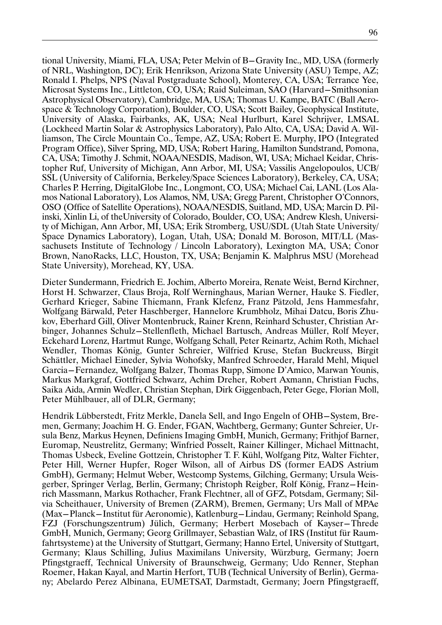tional University, Miami, FLA, USA; Peter Melvin of B-Gravity Inc., MD, USA (formerly of NRL, Washington, DC); Erik Henrikson, Arizona State University (ASU) Tempe, AZ; Ronald I. Phelps, NPS (Naval Postgraduate School), Monterey, CA, USA; Terrance Yee, Microsat Systems Inc., Littleton, CO, USA; Raid Suleiman, SAO (Harvard-Smithsonian Astrophysical Observatory), Cambridge, MA, USA; Thomas U. Kampe, BATC (Ball Aerospace & Technology Corporation), Boulder, CO, USA; Scott Bailey, Geophysical Institute, University of Alaska, Fairbanks, AK, USA; Neal Hurlburt, Karel Schrijver, LMSAL (Lockheed Martin Solar & Astrophysics Laboratory), Palo Alto, CA, USA; David A. Williamson, The Circle Mountain Co., Tempe, AZ, USA; Robert E. Murphy, IPO (Integrated Program Office), Silver Spring, MD, USA; Robert Haring, Hamilton Sundstrand, Pomona, CA, USA; Timothy J. Schmit, NOAA/NESDIS, Madison, WI, USA; Michael Keidar, Christopher Ruf, University of Michigan, Ann Arbor, MI, USA; Vassilis Angelopoulos, UCB/ SSL (University of California, Berkeley/Space Sciences Laboratory), Berkeley, CA, USA; Charles P. Herring, DigitalGlobe Inc., Longmont, CO, USA; Michael Cai, LANL (Los Alamos National Laboratory), Los Alamos, NM, USA; Gregg Parent, Christopher O'Connors, OSO (Office of Satellite Operations), NOAA/NESDIS, Suitland, MD, USA; Marcin D. Pilinski, Xinlin Li, of theUniversity of Colorado, Boulder, CO, USA; Andrew Klesh, University of Michigan, Ann Arbor, MI, USA; Erik Stromberg, USU/SDL (Utah State University/ Space Dynamics Laboratory), Logan, Utah, USA; Donald M. Boroson, MIT/LL (Massachusets Institute of Technology / Lincoln Laboratory), Lexington MA, USA; Conor Brown, NanoRacks, LLC, Houston, TX, USA; Benjamin K. Malphrus MSU (Morehead State University), Morehead, KY, USA.

Dieter Sundermann, Friedrich E. Jochim, Alberto Moreira, Renate Weist, Bernd Kirchner, Horst H. Schwarzer, Claus Broja, Rolf Werninghaus, Marian Werner, Hauke S. Fiedler, Gerhard Krieger, Sabine Thiemann, Frank Klefenz, Franz Pätzold, Jens Hammesfahr, Wolfgang Bärwald, Peter Haschberger, Hannelore Krumbholz, Mihai Datcu, Boris Zhukov, Eberhard Gill, Oliver Montenbruck, Rainer Krenn, Reinhard Schuster, Christian Arbinger, Johannes Schulz-Stellenfleth, Michael Bartusch, Andreas Müller, Rolf Meyer, Eckehard Lorenz, Hartmut Runge, Wolfgang Schall, Peter Reinartz, Achim Roth, Michael Wendler, Thomas König, Gunter Schreier, Wilfried Kruse, Stefan Buckreuss, Birgit Schättler, Michael Eineder, Sylvia Wohofsky, Manfred Schroeder, Harald Mehl, Miquel Garcia-Fernandez, Wolfgang Balzer, Thomas Rupp, Simone D'Amico, Marwan Younis, Markus Markgraf, Gottfried Schwarz, Achim Dreher, Robert Axmann, Christian Fuchs, Saika Aida, Armin Wedler, Christian Stephan, Dirk Giggenbach, Peter Gege, Florian Moll, Peter Mühlbauer, all of DLR, Germany;

Hendrik Lübberstedt, Fritz Merkle, Danela Sell, and Ingo Engeln of OHB-System, Bremen, Germany; Joachim H. G. Ender, FGAN, Wachtberg, Germany; Gunter Schreier, Ursula Benz, Markus Heynen, Definiens Imaging GmbH, Munich, Germany; Frithjof Barner, Euromap, Neustrelitz, Germany; Winfried Posselt, Rainer Killinger, Michael Mittnacht, Thomas Usbeck, Eveline Gottzein, Christopher T. F. Kühl, Wolfgang Pitz, Walter Fichter, Peter Hill, Werner Hupfer, Roger Wilson, all of Airbus DS (former EADS Astrium GmbH), Germany; Helmut Weber, Westcomp Systems, Gilching, Germany; Ursula Weisgerber, Springer Verlag, Berlin, Germany; Christoph Reigber, Rolf König, Franz-Heinrich Massmann, Markus Rothacher, Frank Flechtner, all of GFZ, Potsdam, Germany; Silvia Scheithauer, University of Bremen (ZARM), Bremen, Germany; Urs Mall of MPAe (Max-Planck-Institut für Aeronomie), Katlenburg-Lindau, Germany; Reinhold Spang, FZJ (Forschungszentrum) Jülich, Germany; Herbert Mosebach of Kayser-Threde GmbH, Munich, Germany; Georg Grillmayer, Sebastian Walz, of IRS (Institut für Raumfahrtsysteme) at the University of Stuttgart, Germany; Hanno Ertel, University of Stuttgart, Germany; Klaus Schilling, Julius Maximilans University, Würzburg, Germany; Joern Pfingstgraeff, Technical University of Braunschweig, Germany; Udo Renner, Stephan Roemer, Hakan Kayal, and Martin Herfort, TUB (Technical University of Berlin), Germany; Abelardo Perez Albinana, EUMETSAT, Darmstadt, Germany; Joern Pfingstgraeff,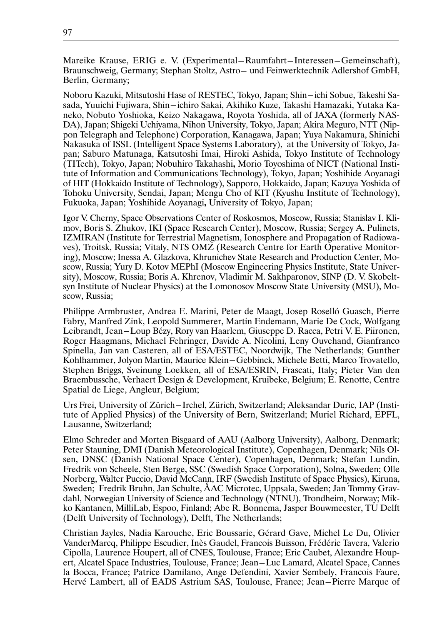Mareike Krause, ERIG e. V. (Experimental-Raumfahrt-Interessen-Gemeinschaft), Braunschweig, Germany; Stephan Stoltz, Astro- und Feinwerktechnik Adlershof GmbH, Berlin, Germany;

Noboru Kazuki, Mitsutoshi Hase of RESTEC, Tokyo, Japan; Shin-ichi Sobue, Takeshi Sasada, Yuuichi Fujiwara, Shin-ichiro Sakai, Akihiko Kuze, Takashi Hamazaki, Yutaka Kaneko, Nobuto Yoshioka, Keizo Nakagawa, Royota Yoshida, all of JAXA (formerly NAS-DA), Japan; Shigeki Uchiyama, Nihon University, Tokyo, Japan; Akira Meguro, NTT (Nippon Telegraph and Telephone) Corporation, Kanagawa, Japan; Yuya Nakamura, Shinichi Nakasuka of ISSL (Intelligent Space Systems Laboratory), at the University of Tokyo, Japan; Saburo Matunaga, Katsutoshi Imai, Hiroki Ashida, Tokyo Institute of Technology (TITech), Tokyo, Japan; Nobuhiro Takahashi**,** Morio Toyoshima of NICT (National Institute of Information and Communications Technology), Tokyo, Japan; Yoshihide Aoyanagi of HIT (Hokkaido Institute of Technology), Sapporo, Hokkaido, Japan; Kazuya Yoshida of Tohoku University, Sendai, Japan; Mengu Cho of KIT (Kyushu Institute of Technology), Fukuoka, Japan; Yoshihide Aoyanagi**,** University of Tokyo, Japan;

Igor V. Cherny, Space Observations Center of Roskosmos, Moscow, Russia; Stanislav I. Klimov, Boris S. Zhukov, IKI (Space Research Center), Moscow, Russia; Sergey A. Pulinets, IZMIRAN (Institute for Terrestrial Magnetism, Ionosphere and Propagation of Radiowaves), Troitsk, Russia; Vitaly, NTS OMZ (Research Centre for Earth Operative Monitoring), Moscow; Inessa A. Glazkova, Khrunichev State Research and Production Center, Moscow, Russia; Yury D. Kotov MEPhI (Moscow Engineering Physics Institute, State University), Moscow, Russia; Boris A. Khrenov, Vladimir M. Sakhparonov, SINP (D. V. Skobeltsyn Institute of Nuclear Physics) at the Lomonosov Moscow State University (MSU), Moscow, Russia;

Philippe Armbruster, Andrea E. Marini, Peter de Maagt, Josep Roselló Guasch, Pierre Fabry, Manfred Zink, Leopold Summerer, Martin Endemann, Marie De Cock, Wolfgang Leibrandt, Jean-Loup Bézy, Rory van Haarlem, Giuseppe D. Racca, Petri V. E. Piironen, Roger Haagmans, Michael Fehringer, Davide A. Nicolini, Leny Ouvehand, Gianfranco Spinella, Jan van Casteren, all of ESA/ESTEC, Noordwijk, The Netherlands; Gunther Kohlhammer, Jolyon Martin, Maurice Klein-Gebbinck, Michele Betti, Marco Trovatello, Stephen Briggs, Sveinung Loekken, all of ESA/ESRIN, Frascati, Italy; Pieter Van den Braembussche, Verhaert Design & Development, Kruibeke, Belgium; E. Renotte, Centre Spatial de Liege, Angleur, Belgium;

Urs Frei, University of Zürich-Irchel, Zürich, Switzerland; Aleksandar Duric, IAP (Institute of Applied Physics) of the University of Bern, Switzerland; Muriel Richard, EPFL, Lausanne, Switzerland;

Elmo Schreder and Morten Bisgaard of AAU (Aalborg University), Aalborg, Denmark; Peter Stauning, DMI (Danish Meteorological Institute), Copenhagen, Denmark; Nils Olsen, DNSC (Danish National Space Center), Copenhagen, Denmark; Stefan Lundin, Fredrik von Scheele, Sten Berge, SSC (Swedish Space Corporation), Solna, Sweden; Olle Norberg, Walter Puccio, David McCann, IRF (Swedish Institute of Space Physics), Kiruna, Sweden; Fredrik Bruhn, Jan Schulte, ÅAC Microtec, Uppsala, Sweden; Jan Tommy Gravdahl, Norwegian University of Science and Technology (NTNU), Trondheim, Norway; Mikko Kantanen, MilliLab, Espoo, Finland; Abe R. Bonnema, Jasper Bouwmeester, TU Delft (Delft University of Technology), Delft, The Netherlands;

Christian Jayles, Nadia Karouche, Eric Boussarie, Gérard Gave, Michel Le Du, Olivier VanderMarcq, Philippe Escudier, Inès Gaudel, Francois Buisson, Frédéric Tavera, Valerio Cipolla, Laurence Houpert, all of CNES, Toulouse, France; Eric Caubet, Alexandre Houpert, Alcatel Space Industries, Toulouse, France; Jean-Luc Lamard, Alcatel Space, Cannes la Bocca, France; Patrice Damilano, Ange Defendini, Xavier Sembely, Francois Faure, Hervé Lambert, all of EADS Astrium SAS, Toulouse, France; Jean-Pierre Marque of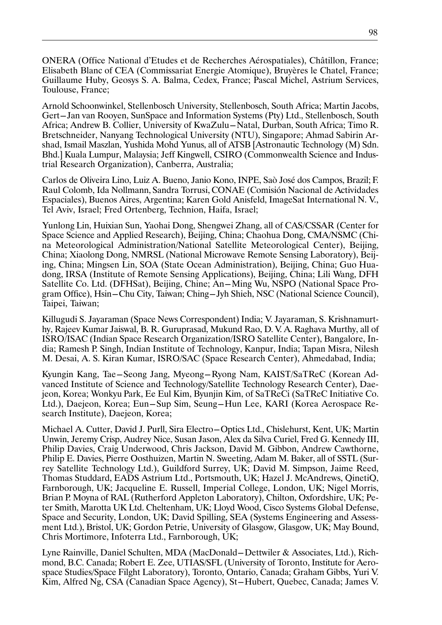ONERA (Office National d'Etudes et de Recherches Aérospatiales), Châtillon, France; Elisabeth Blanc of CEA (Commissariat Energie Atomique), Bruyères le Chatel, France; Guillaume Huby, Geosys S. A. Balma, Cedex, France; Pascal Michel, Astrium Services, Toulouse, France;

Arnold Schoonwinkel, Stellenbosch University, Stellenbosch, South Africa; Martin Jacobs, Gert-Jan van Rooyen, SunSpace and Information Systems (Pty) Ltd., Stellenbosch, South Africa; Andrew B. Collier, University of KwaZulu-Natal, Durban, South Africa; Timo R. Bretschneider, Nanyang Technological University (NTU), Singapore; Ahmad Sabirin Arshad, Ismail Maszlan, Yushida Mohd Yunus, all of ATSB [Astronautic Technology (M) Sdn. Bhd.] Kuala Lumpur, Malaysia; Jeff Kingwell, CSIRO (Commonwealth Science and Industrial Research Organization), Canberra, Australia;

Carlos de Oliveira Lino, Luiz A. Bueno, Janio Kono, INPE, Saò José dos Campos, Brazil; F. Raul Colomb, Ida Nollmann, Sandra Torrusi, CONAE (Comisión Nacional de Actividades Espaciales), Buenos Aires, Argentina; Karen Gold Anisfeld, ImageSat International N. V., Tel Aviv, Israel; Fred Ortenberg, Technion, Haifa, Israel;

Yunlong Lin, Huixian Sun, Yaohai Dong, Shengwei Zhang, all of CAS/CSSAR (Center for Space Science and Applied Research), Beijing, China; Chaohua Dong, CMA/NSMC (China Meteorological Administration/National Satellite Meteorological Center), Beijing, China; Xiaolong Dong, NMRSL (National Microwave Remote Sensing Laboratory), Beijing, China; Mingsen Lin, SOA (State Ocean Administration), Beijing, China; Guo Huadong, IRSA (Institute of Remote Sensing Applications), Beijing, China; Lili Wang, DFH Satellite Co. Ltd. (DFHSat), Beijing, Chine; An-Ming Wu, NSPO (National Space Program Office), Hsin-Chu City, Taiwan; Ching-Jyh Shieh, NSC (National Science Council), Taipei, Taiwan;

Killugudi S. Jayaraman (Space News Correspondent) India; V. Jayaraman, S. Krishnamurthy, Rajeev Kumar Jaiswal, B. R. Guruprasad, Mukund Rao, D. V. A. Raghava Murthy, all of ISRO/ISAC (Indian Space Research Organization/ISRO Satellite Center), Bangalore, India; Ramesh P. Singh, Indian Institute of Technology, Kanpur, India; Tapan Misra, Nilesh M. Desai, A. S. Kiran Kumar, ISRO/SAC (Space Research Center), Ahmedabad, India;

Kyungin Kang, Tae-Seong Jang, Myeong-Ryong Nam, KAIST/SaTReC (Korean Advanced Institute of Science and Technology/Satellite Technology Research Center), Daejeon, Korea; Wonkyu Park, Ee Eul Kim, Byunjin Kim, of SaTReCi (SaTReC Initiative Co. Ltd.), Daejeon, Korea; Eun-Sup Sim, Seung-Hun Lee, KARI (Korea Aerospace Research Institute), Daejeon, Korea;

Michael A. Cutter, David J. Purll, Sira Electro-Optics Ltd., Chislehurst, Kent, UK; Martin Unwin, Jeremy Crisp, Audrey Nice, Susan Jason, Alex da Silva Curiel, Fred G. Kennedy III, Philip Davies, Craig Underwood, Chris Jackson, David M. Gibbon, Andrew Cawthorne, Philip E. Davies, Pierre Oosthuizen, Martin N. Sweeting, Adam M. Baker, all of SSTL (Surrey Satellite Technology Ltd.), Guildford Surrey, UK; David M. Simpson, Jaime Reed, Thomas Studdard, EADS Astrium Ltd., Portsmouth, UK; Hazel J. McAndrews, QinetiQ, Farnborough, UK; Jacqueline E. Russell, Imperial College, London, UK; Nigel Morris, Brian P. Moyna of RAL (Rutherford Appleton Laboratory), Chilton, Oxfordshire, UK; Peter Smith, Marotta UK Ltd. Cheltenham, UK; Lloyd Wood, Cisco Systems Global Defense, Space and Security, London, UK; David Spilling, SEA (Systems Engineering and Assessment Ltd.), Bristol, UK; Gordon Petrie, University of Glasgow, Glasgow, UK; May Bound, Chris Mortimore, Infoterra Ltd., Farnborough, UK;

Lyne Rainville, Daniel Schulten, MDA (MacDonald-Dettwiler & Associates, Ltd.), Richmond, B.C. Canada; Robert E. Zee, UTIAS/SFL (University of Toronto, Institute for Aerospace Studies/Space Filght Laboratory), Toronto, Ontario, Canada; Graham Gibbs, Yuri V. Kim, Alfred Ng, CSA (Canadian Space Agency), St-Hubert, Quebec, Canada; James V.